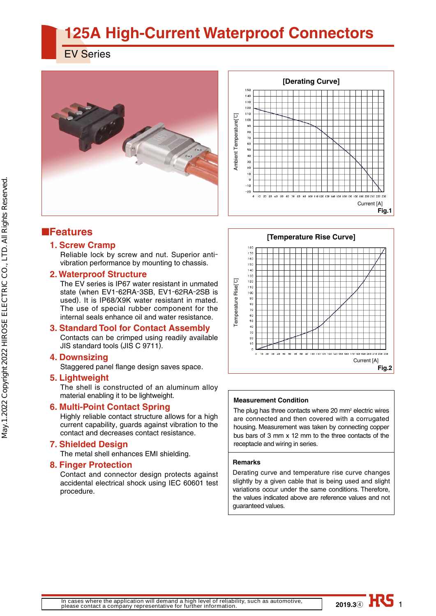# **125A High-Current Waterproof Connectors**

EV Series





# ■**Features**

### **1. Screw Cramp**

Reliable lock by screw and nut. Superior antivibration performance by mounting to chassis.

### **2. Waterproof Structure**

The EV series is IP67 water resistant in unmated state (when EV1-62RA-3SB, EV1-62RA-2SB is used). It is IP68/X9K water resistant in mated. The use of special rubber component for the internal seals enhance oil and water resistance.

### **3. Standard Tool for Contact Assembly**

Contacts can be crimped using readily available JIS standard tools (JIS C 9711).

#### **4. Downsizing**

Staggered panel flange design saves space.

### **5. Lightweight**

The shell is constructed of an aluminum alloy material enabling it to be lightweight.

### **6. Multi-Point Contact Spring**

Highly reliable contact structure allows for a high current capability, guards against vibration to the contact and decreases contact resistance.

### **7. Shielded Design**

The metal shell enhances EMI shielding.

### **8. Finger Protection**

Contact and connector design protects against accidental electrical shock using IEC 60601 test procedure.



#### **Measurement Condition**

The plug has three contacts where  $20 \text{ mm}^2$  electric wires are connected and then covered with a corrugated housing. Measurement was taken by connecting copper bus bars of 3 mm x 12 mm to the three contacts of the receptacle and wiring in series.

#### **Remarks**

Derating curve and temperature rise curve changes slightly by a given cable that is being used and slight variations occur under the same conditions. Therefore, the values indicated above are reference values and not guaranteed values.

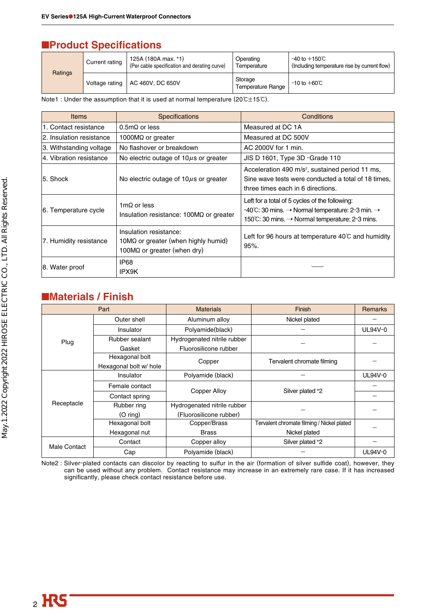# ■**Product Specifications**

|         | Current rating | 125A (180A max. *1)<br>(Per cable specification and derating curve) | Operating<br>Temperature            | -40 to $+150^{\circ}$ C<br>(Including temperature rise by current flow) |
|---------|----------------|---------------------------------------------------------------------|-------------------------------------|-------------------------------------------------------------------------|
| Ratings | Voltage rating | AC 460V, DC 650V                                                    | Storage<br><b>Temperature Range</b> | $-10$ to $+60^{\circ}$ C                                                |

Note1 : Under the assumption that it is used at normal temperature (20 $C \pm 15^{\circ}$ C).

| Items                    | <b>Specifications</b>                                                                                        | Conditions                                                                                                                                                                                          |
|--------------------------|--------------------------------------------------------------------------------------------------------------|-----------------------------------------------------------------------------------------------------------------------------------------------------------------------------------------------------|
| 1. Contact resistance    | $0.5m\Omega$ or less                                                                                         | Measured at DC 1A                                                                                                                                                                                   |
| 2. Insulation resistance | 1000 $M\Omega$ or greater                                                                                    | Measured at DC 500V                                                                                                                                                                                 |
| 3. Withstanding voltage  | No flashover or breakdown                                                                                    | AC 2000V for 1 min.                                                                                                                                                                                 |
| 4. Vibration resistance  | No electric outage of $10\mu s$ or greater                                                                   | JIS D 1601, Type 3D -Grade 110                                                                                                                                                                      |
| 5. Shock                 | No electric outage of $10\mu s$ or greater                                                                   | Acceleration 490 m/s <sup>2</sup> , sustained period 11 ms,<br>Sine wave tests were conducted a total of 18 times,<br>three times each in 6 directions.                                             |
| 6. Temperature cycle     | 1m $\Omega$ or less<br>Insulation resistance: 100MΩ or greater                                               | Left for a total of 5 cycles of the following:<br>$-40^{\circ}$ C: 30 mins. $\rightarrow$ Normal temperature: 2-3 min. $\rightarrow$<br>150°C: 30 mins. $\rightarrow$ Normal temperature: 2-3 mins. |
| 7. Humidity resistance   | Insulation resistance:<br>10 $M\Omega$ or greater (when highly humid)<br>100 $M\Omega$ or greater (when dry) | Left for 96 hours at temperature $40^{\circ}$ C and humidity<br>$95%$ .                                                                                                                             |
| 8. Water proof           | <b>IP68</b><br>IPX9K                                                                                         |                                                                                                                                                                                                     |

## ■**Materials / Finish**

| Part         |                        | <b>Materials</b>            | Finish                                     | <b>Remarks</b> |
|--------------|------------------------|-----------------------------|--------------------------------------------|----------------|
|              | Outer shell            | Aluminum alloy              | Nickel plated                              |                |
|              | Insulator              | Polyamide(black)            |                                            | UL94V-0        |
| Plug         | Rubber sealant         | Hydrogenated nitrile rubber |                                            |                |
|              | Gasket                 | Fluorosilicone rubber       |                                            |                |
|              | Hexagonal bolt         |                             | Tervalent chromate filming                 |                |
|              | Hexagonal bolt w/ hole | Copper                      |                                            |                |
|              | Insulator              | Polyamide (black)           |                                            | UL94V-0        |
|              | Female contact         |                             |                                            |                |
|              | Contact spring         | <b>Copper Alloy</b>         | Silver plated *2                           |                |
| Receptacle   | Rubber ring            | Hydrogenated nitrile rubber |                                            |                |
|              | $(O \text{ ring})$     | (Fluorosilicone rubber)     |                                            |                |
|              | Hexagonal bolt         | Copper/Brass                | Tervalent chromate filming / Nickel plated |                |
|              | Hexagonal nut          | <b>Brass</b>                | Nickel plated                              |                |
| Male Contact | Contact                | Copper alloy                | Silver plated *2                           |                |
|              | Cap                    | Polyamide (black)           |                                            | UL94V-0        |

Note2 : Silver-plated contacts can discolor by reacting to sulfur in the air (formation of silver sulfide coat), however, they can be used without any problem. Contact resistance may increase in an extremely rare case. If it has increased significantly, please check contact resistance before use.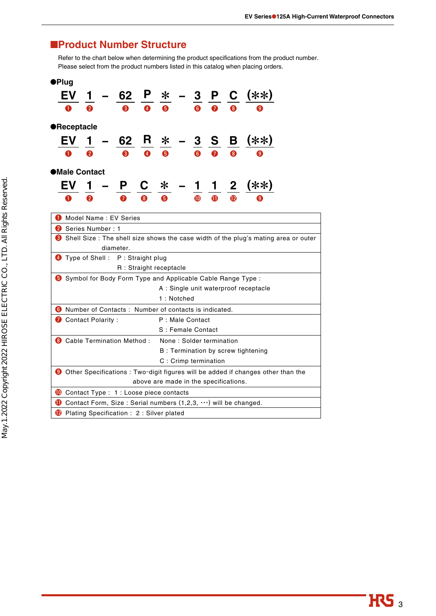# ■**Product Number Structure**

Refer to the chart below when determining the product specifications from the product number. Please select from the product numbers listed in this catalog when placing orders.

| ●Plug |                                                                                                                          |   |  |                                                               |                                            |            |            |                 |   |  |                                       |                                                                                     |
|-------|--------------------------------------------------------------------------------------------------------------------------|---|--|---------------------------------------------------------------|--------------------------------------------|------------|------------|-----------------|---|--|---------------------------------------|-------------------------------------------------------------------------------------|
|       |                                                                                                                          |   |  |                                                               | $\frac{62}{2}$ $\frac{P}{2}$ $\frac{*}{2}$ |            |            |                 |   |  | $-$ 3 $P$ C (**)                      |                                                                                     |
|       |                                                                                                                          |   |  | 3                                                             | $\bullet$                                  |            |            |                 |   |  |                                       |                                                                                     |
|       | <b>•Receptacle</b>                                                                                                       |   |  |                                                               |                                            |            |            |                 |   |  |                                       |                                                                                     |
|       | EV l                                                                                                                     |   |  | 62                                                            |                                            | $R \times$ |            | $\mathbf{3}$    |   |  | S B (**)                              |                                                                                     |
|       |                                                                                                                          | Q |  | ß                                                             | 4                                          |            |            | 6               |   |  | 0                                     |                                                                                     |
|       | ●Male Contact                                                                                                            |   |  |                                                               |                                            |            |            |                 |   |  |                                       |                                                                                     |
|       | EV                                                                                                                       |   |  | P                                                             |                                            | C *        |            |                 |   |  | 1 2 (**)                              |                                                                                     |
|       |                                                                                                                          | О |  |                                                               |                                            |            |            | $\bf \Phi$      | ⋔ |  | 9)                                    |                                                                                     |
|       |                                                                                                                          |   |  | Model Name: EV Series                                         |                                            |            |            |                 |   |  |                                       |                                                                                     |
|       | <b>2</b> Series Number: 1                                                                                                |   |  |                                                               |                                            |            |            |                 |   |  |                                       |                                                                                     |
|       |                                                                                                                          |   |  |                                                               |                                            |            |            |                 |   |  |                                       | Shell Size : The shell size shows the case width of the plug's mating area or outer |
|       |                                                                                                                          |   |  | diameter.                                                     |                                            |            |            |                 |   |  |                                       |                                                                                     |
|       |                                                                                                                          |   |  | Type of Shell: P: Straight plug                               |                                            |            |            |                 |   |  |                                       |                                                                                     |
|       |                                                                                                                          |   |  |                                                               | R : Straight receptacle                    |            |            |                 |   |  |                                       |                                                                                     |
|       |                                                                                                                          |   |  | Symbol for Body Form Type and Applicable Cable Range Type :   |                                            |            |            |                 |   |  |                                       |                                                                                     |
|       |                                                                                                                          |   |  |                                                               |                                            |            |            |                 |   |  | A : Single unit waterproof receptacle |                                                                                     |
|       |                                                                                                                          |   |  |                                                               |                                            |            | 1: Notched |                 |   |  |                                       |                                                                                     |
|       |                                                                                                                          |   |  | <b>6</b> Number of Contacts: Number of contacts is indicated. |                                            |            |            |                 |   |  |                                       |                                                                                     |
|       | Contact Polarity :                                                                                                       |   |  |                                                               |                                            |            |            | P: Male Contact |   |  |                                       |                                                                                     |
|       | S : Female Contact                                                                                                       |   |  |                                                               |                                            |            |            |                 |   |  |                                       |                                                                                     |
|       | <b>8</b> Cable Termination Method :<br>None: Solder termination                                                          |   |  |                                                               |                                            |            |            |                 |   |  |                                       |                                                                                     |
|       | B : Termination by screw tightening                                                                                      |   |  |                                                               |                                            |            |            |                 |   |  |                                       |                                                                                     |
|       | C: Crimp termination                                                                                                     |   |  |                                                               |                                            |            |            |                 |   |  |                                       |                                                                                     |
|       | <b>O</b> Other Specifications : Two-digit figures will be added if changes other than the                                |   |  |                                                               |                                            |            |            |                 |   |  |                                       |                                                                                     |
|       |                                                                                                                          |   |  |                                                               | above are made in the specifications.      |            |            |                 |   |  |                                       |                                                                                     |
|       |                                                                                                                          |   |  | Contact Type : 1 : Loose piece contacts                       |                                            |            |            |                 |   |  |                                       |                                                                                     |
|       |                                                                                                                          |   |  |                                                               |                                            |            |            |                 |   |  |                                       |                                                                                     |
|       | <b>O</b> Contact Form, Size: Serial numbers $(1,2,3,\cdots)$ will be changed.<br>Plating Specification: 2: Silver plated |   |  |                                                               |                                            |            |            |                 |   |  |                                       |                                                                                     |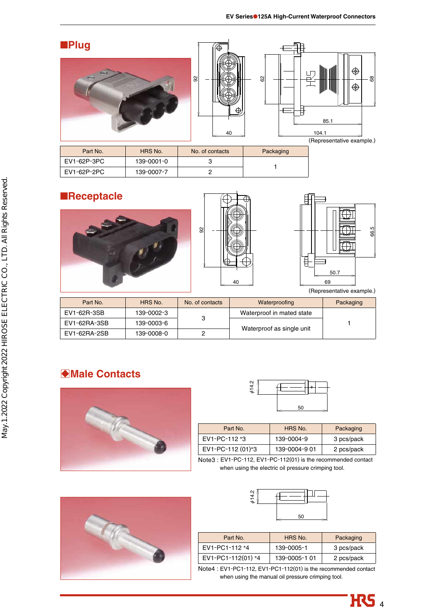

| Part No.    | HRS No.    | No. of contacts | Packaging |
|-------------|------------|-----------------|-----------|
| EV1-62P-3PC | 139-0001-0 |                 |           |
| EV1-62P-2PC | 139-0007-7 |                 |           |



| Part No.     | HHS NO.    | NO. OF CONTACTS | <i>v</i> aterproofing     | <b>Packaging</b> |
|--------------|------------|-----------------|---------------------------|------------------|
| EV1-62R-3SB  | 139-0002-3 |                 | Waterproof in mated state |                  |
| EV1-62RA-3SB | 139-0003-6 |                 |                           |                  |
| EV1-62RA-2SB | 139-0008-0 |                 | Waterproof as single unit |                  |

# B**Male Contacts**





| Part No.          | HRS No.       | Packaging  |
|-------------------|---------------|------------|
| EV1-PC-112 *3     | 139-0004-9    | 3 pcs/pack |
| EV1-PC-112 (01)*3 | 139-0004-9 01 | 2 pcs/pack |

Note3 : EV1-PC-112, EV1-PC-112(01) is the recommended contact when using the electric oil pressure crimping tool.





| Part No.           | HRS No.       | Packaging  |
|--------------------|---------------|------------|
| EV1-PC1-112 *4     | 139-0005-1    | 3 pcs/pack |
| EV1-PC1-112(01) *4 | 139-0005-1 01 | 2 pcs/pack |

Note4 : EV1-PC1-112, EV1-PC1-112(01) is the recommended contact when using the manual oil pressure crimping tool.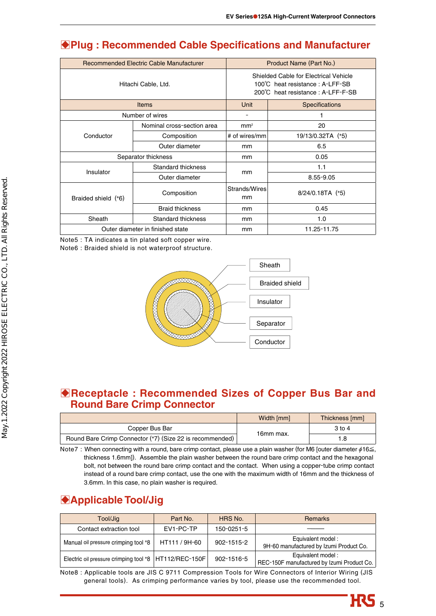# B**Plug : Recommended Cable Specifications and Manufacturer**

|                              | Recommended Electric Cable Manufacturer | Product Name (Part No.)                                                                                       |                       |  |
|------------------------------|-----------------------------------------|---------------------------------------------------------------------------------------------------------------|-----------------------|--|
|                              | Hitachi Cable, Ltd.                     | Shielded Cable for Electrical Vehicle<br>100°C heat resistance: A-LFF-SB<br>200°C heat resistance: A-LFF-F-SB |                       |  |
|                              | <b>Items</b>                            | Unit                                                                                                          | <b>Specifications</b> |  |
|                              | Number of wires                         | -                                                                                                             |                       |  |
|                              | Nominal cross-section area              | mm <sup>2</sup>                                                                                               | 20                    |  |
| Conductor                    | Composition                             | # of wires/mm                                                                                                 | 19/13/0.32TA (*5)     |  |
|                              | Outer diameter                          | mm                                                                                                            | 6.5                   |  |
|                              | Separator thickness                     | mm                                                                                                            | 0.05                  |  |
| Insulator                    | Standard thickness                      |                                                                                                               | 1.1                   |  |
|                              | Outer diameter                          | mm                                                                                                            | $8.55 - 9.05$         |  |
| Braided shield (*6)          | Composition                             | Strands/Wires<br>mm                                                                                           | $8/24/0.18TA$ (*5)    |  |
|                              | <b>Braid thickness</b>                  | mm                                                                                                            | 0.45                  |  |
| Sheath<br>Standard thickness |                                         | mm                                                                                                            | 1.0                   |  |
|                              | Outer diameter in finished state        | mm                                                                                                            | 11.25-11.75           |  |

Note5 : TA indicates a tin plated soft copper wire. Note6 : Braided shield is not waterproof structure.



### **Receptacle : Recommended Sizes of Copper Bus Bar and Round Bare Crimp Connector**

|                                                          | Width [mm] | Thickness [mm] |
|----------------------------------------------------------|------------|----------------|
| Copper Bus Bar                                           |            | 3 to 4         |
| Round Bare Crimp Connector (*7) (Size 22 is recommended) | 16mm max.  |                |

Note7 : When connecting with a round, bare crimp contact, please use a plain washer (for M6 [outer diameter  $\phi$ 16 $\leq$ , thickness 1.6mm]). Assemble the plain washer between the round bare crimp contact and the hexagonal bolt, not between the round bare crimp contact and the contact. When using a copper-tube crimp contact instead of a round bare crimp contact, use the one with the maximum width of 16mm and the thickness of 3.6mm. In this case, no plain washer is required.

# **Applicable Tool/Jig**

| Tool/Jig                                                | Part No.      | HRS No.    | <b>Remarks</b>                                                  |
|---------------------------------------------------------|---------------|------------|-----------------------------------------------------------------|
| Contact extraction tool                                 | EV1-PC-TP     | 150-0251-5 |                                                                 |
| Manual oil pressure crimping tool *8                    | HT111 / 9H-60 | 902-1515-2 | Equivalent model:<br>9H-60 manufactured by Izumi Product Co.    |
| Electric oil pressure crimping tool *8   HT112/REC-150F |               | 902-1516-5 | Equivalent model:<br>REC-150F manufactured by Izumi Product Co. |

Note8 : Applicable tools are JIS C 9711 Compression Tools for Wire Connectors of Interior Wiring (JIS general tools). As crimping performance varies by tool, please use the recommended tool.